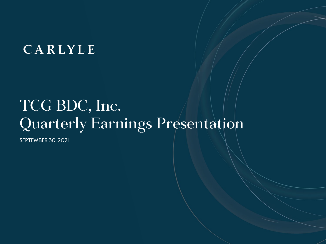# CARLYLE

# TCG BDC, Inc. Quarterly Earnings Presentation

SEPTEMBER 30, 2021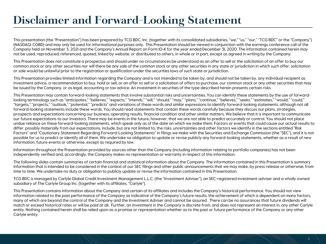### **Disclaimer and Forward-Looking Statement**

This presentation (the "Presentation") has been prepared by TCG BDC, Inc. (together with its consolidated subsidiaries, "we," "us," "our," "TCG BDC" or the "Company") (NASDAQ: CGBD) and may only be used for informational purposes only. This Presentation should be viewed in conjunction with the earnings conference call of the Company held on November 3, 2021 and the Company's Annual Report on Form 10-K for the year ended December 31, 2020. The information contained herein may not be used, reproduced, referenced, quoted, linked by website, or distributed to others, in whole or in part, except as agreed in writing by the Company.

This Presentation does not constitute a prospectus and should under no circumstances be understood as an offer to sell or the solicitation of an offer to buy our common stock or any other securities nor will there be any sale of the common stock or any other securities in any state or jurisdiction in which such offer, solicitation or sale would be unlawful prior to the registration or qualification under the securities laws of such state or jurisdiction.

This Presentation provides limited information regarding the Company and is not intended to be taken by, and should not be taken by, any individual recipient as investment advice, a recommendation to buy, hold or sell, or an offer to sell or a solicitation of offers to purchase, our common stock or any other securities that may be issued by the Company, or as legal, accounting or tax advice. An investment in securities of the type described herein presents certain risks.

This Presentation may contain forward-looking statements that involve substantial risks and uncertainties. You can identify these statements by the use of forwardlooking terminology such as "anticipates," "believes," "expects," "intends," "will," "should," "may," "plans," "continue," "believes," "seeks," "estimates," "would," "could," "targets," "projects," "outlook," "potential," "predicts" and variations of these words and similar expressions to identify forward-looking statements, although not all forward-looking statements include these words. You should read statements that contain these words carefully because they discuss our plans, strategies, prospects and expectations concerning our business, operating results, financial condition and other similar matters. We believe that it is important to communicate our future expectations to our investors. There may be events in the future, however, that we are not able to predict accurately or control. You should not place undue reliance on these forward-looking statements, which speak only as of the date on which we make them. Factors or events that could cause our actual results to differ, possibly materially from our expectations, include, but are not limited to, the risks, uncertainties and other factors we identify in the sections entitled "Risk Factors" and "Cautionary Statement Regarding Forward-Looking Statements" in filings we make with the Securities and Exchange Commission (the "SEC"), and it is not possible for us to predict or identify all of them. We undertake no obligation to update or revise publicly any forward-looking statements, whether as a result of new information, future events or otherwise, except as required by law.

Information throughout the Presentation provided by sources other than the Company (including information relating to portfolio companies) has not been independently verified and, accordingly, the Company makes no representation or warranty in respect of this information.

The following slides contain summaries of certain financial and statistical information about the Company. The information contained in this Presentation is summary information that is intended to be considered in the context of our SEC filings and other public announcements that we may make, by press release or otherwise, from time to time. We undertake no duty or obligation to publicly update or revise the information contained in this Presentation.

TCG BDC is managed by Carlyle Global Credit Investment Management L.L.C. (the "Investment Adviser"), an SEC-registered investment adviser and a wholly owned subsidiary of The Carlyle Group Inc. (together with its affiliates, "Carlyle").

This Presentation contains information about the Company and certain of its affiliates and includes the Company's historical performance. You should not view information related to the past performance of the Company as indicative of the Company's future results, the achievement of which is dependent on many factors, many of which are beyond the control of the Company and the Investment Adviser and cannot be assured. There can be no assurances that future dividends will match or exceed historical rates or will be paid at all. Further, an investment in the Company is discrete from, and does not represent an interest in, any other Carlyle entity. Nothing contained herein shall be relied upon as a promise or representation whether as to the past or future performance of the Company or any other Carlyle entity.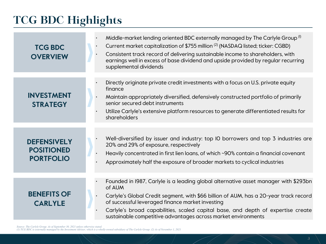## **TCG BDC Highlights**

| <b>TCG BDC</b><br><b>OVERVIEW</b>                           | Middle-market lending oriented BDC externally managed by The Carlyle Group <sup>(1)</sup><br>Current market capitalization of \$755 million <sup>(2)</sup> (NASDAQ listed; ticker: CGBD)<br>$\bullet$<br>Consistent track record of delivering sustainable income to shareholders, with<br>$\bullet$<br>earnings well in excess of base dividend and upside provided by regular recurring<br>supplemental dividends |
|-------------------------------------------------------------|---------------------------------------------------------------------------------------------------------------------------------------------------------------------------------------------------------------------------------------------------------------------------------------------------------------------------------------------------------------------------------------------------------------------|
| <b>INVESTMENT</b><br><b>STRATEGY</b>                        | Directly originate private credit investments with a focus on U.S. private equity<br>finance<br>Maintain appropriately diversified, defensively constructed portfolio of primarily<br>senior secured debt instruments<br>Utilize Carlyle's extensive platform resources to generate differentiated results for<br>shareholders                                                                                      |
| <b>DEFENSIVELY</b><br><b>POSITIONED</b><br><b>PORTFOLIO</b> | Well-diversified by issuer and industry: top IO borrowers and top 3 industries are<br>20% and 29% of exposure, respectively<br>Heavily concentrated in first lien loans, of which ~90% contain a financial covenant<br>Approximately half the exposure of broader markets to cyclical industries                                                                                                                    |
| <b>BENEFITS OF</b><br><b>CARLYLE</b>                        | Founded in 1987, Carlyle is a leading global alternative asset manager with \$293bn<br>of AUM<br>Carlyle's Global Credit segment, with \$66 billion of AUM, has a 20-year track record<br>of successful leveraged finance market investing<br>Carlyle's broad capabilities, scaled capital base, and depth of expertise create<br>sustainable competitive advantages across market environments                     |

Source: The Carlyle Group. As of September 30, 2021 unless otherwise stated.<br>(1) TCG BDC is externally managed by the Investment Adviser, which is a wholly-owned subsidiary of The Carlyle Group. (2) As of November 1, 2021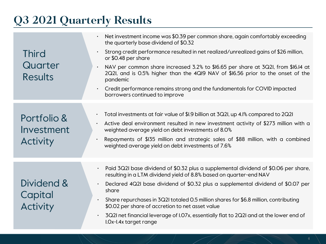## **Q3 2021 Quarterly Results**

| <b>Third</b><br>Quarter<br><b>Results</b>    | Net investment income was \$0.39 per common share, again comfortably exceeding<br>the quarterly base dividend of \$0.32<br>Strong credit performance resulted in net realized/unrealized gains of \$26 million,<br>or \$0.48 per share<br>NAV per common share increased 3.2% to \$16.65 per share at 3Q2I, from \$16.14 at<br>$\bullet$<br>2Q2I, and is 0.5% higher than the 4QI9 NAV of \$16.56 prior to the onset of the<br>pandemic<br>Credit performance remains strong and the fundamentals for COVID impacted<br>$\bullet$<br>borrowers continued to improve |
|----------------------------------------------|---------------------------------------------------------------------------------------------------------------------------------------------------------------------------------------------------------------------------------------------------------------------------------------------------------------------------------------------------------------------------------------------------------------------------------------------------------------------------------------------------------------------------------------------------------------------|
| Portfolio &<br>Investment<br><b>Activity</b> | Total investments at fair value of \$1.9 billion at 3Q21, up 4.1% compared to 2Q21<br>$\bullet$<br>Active deal environment resulted in new investment activity of \$273 million with a<br>$\bullet$<br>weighted average yield on debt investments of 8.0%<br>Repayments of \$135 million and strategic sales of \$88 million, with a combined<br>$\bullet$<br>weighted average yield on debt investments of 7.6%                                                                                                                                                    |
| Dividend &<br>Capital<br><b>Activity</b>     | Paid 3Q2I base dividend of \$0.32 plus a supplemental dividend of \$0.06 per share,<br>$\bullet$<br>resulting in a LTM dividend yield of 8.8% based on quarter-end NAV<br>Declared 4Q2I base dividend of \$0.32 plus a supplemental dividend of \$0.07 per<br>share<br>Share repurchases in 3Q2I totaled 0.5 million shares for \$6.8 million, contributing<br>$\bullet$<br>\$0.02 per share of accretion to net asset value<br>3Q2I net financial leverage of I.07x, essentially flat to 2Q2I and at the lower end of<br>I.Ox-I.4x target range                    |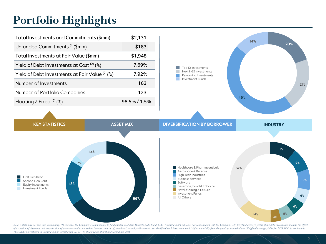### **Portfolio Highlights**

| Total Investments and Commitments (\$mm)        | \$2,131      |
|-------------------------------------------------|--------------|
| Unfunded Commitments <sup>(I)</sup> (\$mm)      | \$183        |
| Total Investments at Fair Value (\$mm)          | \$1,948      |
| Yield of Debt Investments at Cost $(2)$ (%)     | 7.69%        |
| Yield of Debt Investments at Fair Value (2) (%) | 7.92%        |
| Number of Investments                           | 163          |
| Number of Portfolio Companies                   | 123          |
| Floating / Fixed $(3)$ (%)                      | 98.5% / 1.5% |





Note: Totals may not sum due to rounding. (1) Excludes the Company's commitments to fund capital to Middle Market Credit Fund, LLC ("Credit Fund"), which is not consolidated with the Company. (2) Weighted average vields of of accretion of discounts and amortization of premiums and are based on interest rates as of period end. Actual yields earned over the life of each investment could differ materially from the yields presented above. Weight *TCG BDC's investment in Credit Fund or Credit Fund II. (3) % of fair value of first and second lien debt.*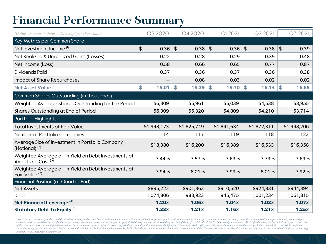### **Financial Performance Summary**

| (Dollar amounts in thousands, except per share data)                                  | Q3 2020         | Q4 2020     | <b>QI 2021</b> | Q2 2021     |            | Q3 2021     |
|---------------------------------------------------------------------------------------|-----------------|-------------|----------------|-------------|------------|-------------|
| Key Metrics per Common Share                                                          |                 |             |                |             |            |             |
| Net Investment Income <sup>(I)</sup>                                                  | \$<br>$0.36$ \$ | $0.38$ \$   | $0.36$ \$      | 0.38        | $\vert$ \$ | 0.39        |
| Net Realized & Unrealized Gains (Losses)                                              | 0.22            | 0.28        | 0.29           | 0.39        |            | 0.48        |
| Net Income (Loss)                                                                     | 0.58            | 0.66        | 0.65           | 0.77        |            | 0.87        |
| <b>Dividends Paid</b>                                                                 | 0.37            | 0.36        | 0.37           | 0.36        |            | 0.38        |
| Impact of Share Repurchases                                                           |                 | 0.08        | 0.03           | 0.02        |            | 0.02        |
| <b>Net Asset Value</b>                                                                | \$<br>15.01     | \$<br>15.39 | \$<br>15.70 \$ | 16.14       | \$         | 16.65       |
| Common Shares Outstanding (in thousands)                                              |                 |             |                |             |            |             |
| Weighted Average Shares Outstanding for the Period                                    | 56,309          | 55,961      | 55,039         | 54,538      |            | 53,955      |
| Shares Outstanding at End of Period                                                   | 56,309          | 55,320      | 54,809         | 54,210      |            | 53,714      |
| Portfolio Highlights                                                                  |                 |             |                |             |            |             |
| <b>Total Investments at Fair Value</b>                                                | \$1,948,173     | \$1,825,749 | \$1,841,634    | \$1,872,311 |            | \$1,948,206 |
| Number of Portfolio Companies                                                         | 114             | 117         | 119            | 118         |            | 123         |
| Average Size of Investment in Portfolio Company<br>(Notional) $(2)$                   | \$18,380        | \$16,200    | \$16,389       | \$16,533    |            | \$16,358    |
| Weighted Average all-in Yield on Debt Investments at<br>Amortized Cost <sup>(3)</sup> | 7.44%           | 7.57%       | 7.63%          | 7.73%       |            | 7.69%       |
| Weighted Average all-in Yield on Debt Investments at<br>Fair Value <sup>(3)</sup>     | 7.94%           | 8.01%       | 7.99%          | 8.01%       |            | 7.92%       |
| <b>Financial Position (at Quarter End)</b>                                            |                 |             |                |             |            |             |
| <b>Net Assets</b>                                                                     | \$895,222       | \$901,363   | \$910,520      | \$924,831   |            | \$944,394   |
| Debt                                                                                  | 1,074,806       | 983,923     | 945,475        | 1,001,234   |            | 1,061,815   |
| Net Financial Leverage <sup>(4)</sup>                                                 | 1.20x           | 1.06x       | 1.04x          | 1.03x       |            | 1.07x       |
| Statutory Debt To Equity <sup>(5)</sup>                                               | 1.33x           | 1.21x       | 1.16x          | 1.21x       |            | 1.25x       |

Note: The net asset value per share and dividends declared per share are based on the common shares outstanding at each respective quarter-end. Net investment income per common share and net change in realized and unrealiz common share are based on the weighted average number of common shares outstanding for the period. Totals may not sum due to rounding. (1) Net of the preferred dividend. (2) Excludes equity investments. (3) Weighted averag of discounts and amortization of premiums and are based on interest rates as of each respective period end. Actual yields earned over the life of each investment could differ materially from the yields presented above. (4) securities as equity, net of excess cash held at period end, which was \$54.7 million on September 30, 2021. (5) Reflects cumulative convertible preferred securities as debt. These securities are considered "senior securiti *pursuant to the Investment Company Act.*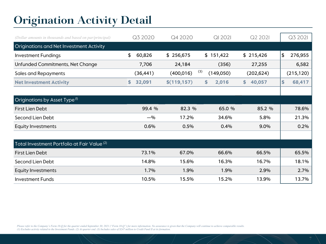### **Origination Activity Detail**

| (Dollar amounts in thousands and based on par/principal) | Q3 2020      | Q4 2020      | <b>QI 2021</b>   | Q2 2021      | Q3 2021                  |
|----------------------------------------------------------|--------------|--------------|------------------|--------------|--------------------------|
| <b>Originations and Net Investment Activity</b>          |              |              |                  |              |                          |
| <b>Investment Fundings</b>                               | \$<br>60,826 | \$256,675    | \$151,422        | \$215,426    | $\frac{1}{2}$<br>276,955 |
| Unfunded Commitments, Net Change                         | 7,706        | 24,184       | (356)            | 27,255       | 6,582                    |
| <b>Sales and Repayments</b>                              | (36, 441)    | (400, 016)   | (3)<br>(149,050) | (202, 624)   | (215, 120)               |
| <b>Net Investment Activity</b>                           | 32,091<br>\$ | \$(119, 157) | 2,016<br>\$      | 40,057<br>\$ | 68,417<br>\$             |
|                                                          |              |              |                  |              |                          |
| Originations by Asset Type <sup>(I)</sup>                |              |              |                  |              |                          |
| First Lien Debt                                          | 99.4 %       | 82.3 %       | 65.0 %           | 85.2 %       | 78.6%                    |
| Second Lien Debt                                         | $-$ %        | 17.2%        | 34.6%            | 5.8%         | 21.3%                    |
| <b>Equity Investments</b>                                | 0.6%         | 0.5%         | 0.4%             | 9.0%         | 0.2%                     |
|                                                          |              |              |                  |              |                          |
| Total Investment Portfolio at Fair Value <sup>(2)</sup>  |              |              |                  |              |                          |
| <b>First Lien Debt</b>                                   | 73.1%        | 67.0%        | 66.6%            | 66.5%        | 65.5%                    |
| Second Lien Debt                                         | 14.8%        | 15.6%        | 16.3%            | 16.7%        | 18.1%                    |
| <b>Equity Investments</b>                                | 1.7%         | 1.9%         | 1.9%             | 2.9%         | 2.7%                     |
| <b>Investment Funds</b>                                  | 10.5%        | 15.5%        | 15.2%            | 13.9%        | 13.7%                    |

*Please refer to the Company's Form 10-Q for the quarter ended September 30, 2021 ("Form 10-Q") for more information. No assurance is given that the Company will continue to achieve comparable results. (1) Excludes activity related to the Investment Funds. (2) At quarter end. (3) Includes sales of \$247 million to Credit Fund II at its formation.*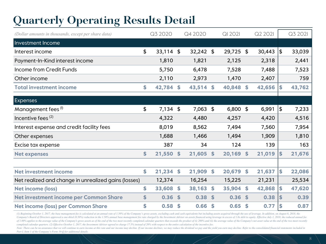## **Quarterly Operating Results Detail**

| (Dollar amounts in thousands, except per share data) | Q3 2020           |                    | Q4 2020     |                    | QI 2021    |                    | Q2 2021 |    | Q3 2021 |
|------------------------------------------------------|-------------------|--------------------|-------------|--------------------|------------|--------------------|---------|----|---------|
| Investment Income                                    |                   |                    |             |                    |            |                    |         |    |         |
| Interest income                                      | \$<br>$33,114$ \$ |                    | $32,242$ \$ |                    | 29,725 \$  |                    | 30,443  | \$ | 33,039  |
| Payment-In-Kind interest income                      | 1,810             |                    | 1,821       |                    | 2,125      |                    | 2,318   |    | 2,441   |
| Income from Credit Funds                             | 5,750             |                    | 6,478       |                    | 7,528      |                    | 7,488   |    | 7,523   |
| Other income                                         | 2,110             |                    | 2,973       |                    | 1,470      |                    | 2,407   |    | 759     |
| <b>Total investment income</b>                       | \$<br>42,784      | \$                 | 43,514 \$   |                    | 40,848 \$  |                    | 42,656  | \$ | 43,762  |
| <b>Expenses</b>                                      |                   |                    |             |                    |            |                    |         |    |         |
| Management fees (1)                                  | \$<br>$7,134$ \$  |                    | $7,063$ \$  |                    | $6,800$ \$ |                    | 6,991   | 5  | 7,233   |
| Incentive fees $(2)$                                 | 4,322             |                    | 4,480       |                    | 4,257      |                    | 4,420   |    | 4,516   |
| Interest expense and credit facility fees            | 8,019             |                    | 8,562       |                    | 7,494      |                    | 7,560   |    | 7,954   |
| Other expenses                                       | 1,688             |                    | 1,466       |                    | 1,494      |                    | 1,909   |    | 1,810   |
| Excise tax expense                                   | 387               |                    | 34          |                    | 124        |                    | 139     |    | 163     |
| <b>Net expenses</b>                                  | \$<br>21,550      | $\mathbf{\hat{5}}$ | 21,605      | $\mathbf{\hat{S}}$ | 20,169     | $\mathbf{\hat{S}}$ | 21,019  | \$ | 21,676  |
|                                                      |                   |                    |             |                    |            |                    |         |    |         |
| <b>Net investment income</b>                         | \$<br>21,234      | \$                 | 21,909      | \$                 | 20,679     | $\mathbf{\hat{S}}$ | 21,637  | \$ | 22,086  |
| Net realized and change in unrealized gains (losses) | 12,374            |                    | 16,254      |                    | 15,225     |                    | 21,231  |    | 25,534  |
| <b>Net income (loss)</b>                             | \$<br>33,608      | $\mathbf{\hat{5}}$ | 38,163      | \$                 | 35,904     | $\mathbf{\hat{S}}$ | 42,868  | \$ | 47,620  |
| Net investment income per Common Share               | \$<br>0.36        | <sup>\$</sup>      | 0.38        | \$                 | 0.36       | $\mathbf{s}$       | 0.38    | \$ | 0.39    |
| Net income (loss) per Common Share                   | \$<br>0.58        | \$                 | 0.66        | \$                 | 0.65       | \$                 | 0.77    | \$ | 0.87    |

(1) Beginning October 1, 2017, the base management fee is calculated at an annual rate of 1.50% of the Company's gross assets, excluding cash and cash equivalents but including assets acquired through the use of leverage. Company's Board of Directors approved a one-third (0.50%) reduction in the 1.50% annual base management fee rate charged by the Investment Adviser on assets financed using leverage in excess of 1.0x debt to equity. Effecti of 1.00% applies to the average value of the Company's gross assets as of the end of the two most recently completed calendar quarters that exceeds the product of (i) 200% and (ii) the average value of the Company's net as *completed calendar quarters. (2) Effective October 1, 2017, the Investment Adviser agreed to charge 17.5% instead of 20% with respect to the entire calculation of the incentive fee.* 

Note: There can be no assurance that we will continue to earn income at this rate and our income may decline. If our income declines, we may reduce the dividend we pay and the yield you earn may decline. Refer to the conso *Part I, Item 1 of the Company's Form 10-Q for additional details.*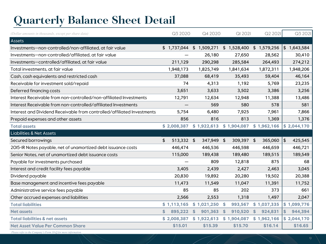## **Quarterly Balance Sheet Detail**

| (Dollar amounts in thousands, except per share data)                    | Q3 2020          | Q4 2020                  | QI 2021             | Q2 2021                  | Q3 2021                 |
|-------------------------------------------------------------------------|------------------|--------------------------|---------------------|--------------------------|-------------------------|
| Assets                                                                  |                  |                          |                     |                          |                         |
| Investments-non-controlled/non-affiliated, at fair value                | \$1,737,044      | \$1,509,271              | \$1,528,400         | \$1,579,256              | $\frac{1}{2}$ 1,643,584 |
| Investments-non-controlled/affiliated, at fair value                    |                  | 26,180                   | 27,650              | 28,562                   | 30,410                  |
| Investments-controlled/affiliated, at fair value                        | 211,129          | 290,298                  | 285,584             | 264,493                  | 274,212                 |
| Total investments, at fair value                                        | 1,948,173        | 1,825,749                | 1,841,634           | 1,872,311                | 1,948,206               |
| Cash, cash equivalents and restricted cash                              | 37,088           | 68,419                   | 35,493              | 59,404                   | 46,164                  |
| Receivable for investment sold/repaid                                   | 74               | 4,313                    | 1,192               | 5,769                    | 23,235                  |
| Deferred financing costs                                                | 3,651            | 3,633                    | 3,502               | 3,386                    | 3,256                   |
| Interest Receivable from non-controlled/non-affiliated Investments      | 12,791           | 12,634                   | 12,948              | 11,388                   | 13,486                  |
| Interest Receivable from non-controlled/affiliated Investments          |                  | 569                      | 580                 | 578                      | 581                     |
| Interest and Dividend Receivable from controlled/affiliated Investments | 5,754            | 6,480                    | 7,925               | 7,961                    | 7,866                   |
| Prepaid expenses and other assets                                       | 856              | 816                      | 813                 | 1,369                    | 1,376                   |
| <b>Total assets</b>                                                     | \$2,008,387      | \$1,922,613              | \$1,904,087         | \$1,962,166              | $\frac{1}{2}$ ,044,170  |
| <b>Liabilities &amp; Net Assets</b>                                     |                  |                          |                     |                          |                         |
| Secured borrowings                                                      | \$<br>513,332 \$ | 347,949                  | 309,397 \$<br>-\$   | 365,060                  | \$<br>425,545           |
| 2015-IR Notes payable, net of unamortized debt issuance costs           | 446,474          | 446,536                  | 446,598             | 446,659                  | 446,721                 |
| Senior Notes, net of unamortized debt issuance costs                    | 115,000          | 189,438                  | 189,480             | 189,515                  | 189,549                 |
| Payable for investments purchased                                       |                  | 809                      | 12,818              | 875                      | 68                      |
| Interest and credit facility fees payable                               | 3,405            | 2,439                    | 2,427               | 2,463                    | 3,045                   |
| Dividend payable                                                        | 20,830           | 19,892                   | 20,280              | 19,502                   | 20,388                  |
| Base management and incentive fees payable                              | 11,473           | 11,549                   | 11,047              | 11,391                   | 11,752                  |
| Administrative service fees payable                                     | 85               | 85                       | 202                 | 373                      | 661                     |
| Other accrued expenses and liabilities                                  | 2,566            | 2,553                    | 1,318               | 1,497                    | 2,047                   |
| <b>Total liabilities</b>                                                | \$1,113,165      | \$1,021,250              | 993,567<br><b>S</b> | \$1,037,335              | \$1,099,776             |
| <b>Net assets</b>                                                       | \$<br>895,222    | 901,363<br><sup>\$</sup> | \$<br>910,520       | <sup>\$</sup><br>924,831 | 944,394<br>\$           |
| <b>Total liabilities &amp; net assets</b>                               | \$2,008,387      | \$1,922,613              | \$1,904,087         | \$1,962,166              | \$2,044,170             |
| <b>Net Asset Value Per Common Share</b>                                 | \$15.01          | \$15.39                  | \$15.70             | \$16.14                  | \$16.65                 |

*Please refer to the Company's Form 10-Q for more information.*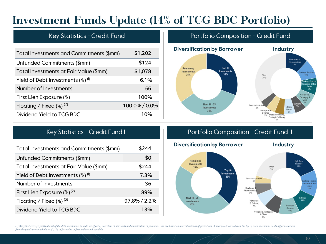### **Investment Funds Update (14% of TCG BDC Portfolio)**

| Total Investments and Commitments (\$mm)                   | \$1,202       |
|------------------------------------------------------------|---------------|
| Unfunded Commitments (\$mm)                                | \$124         |
| Total Investments at Fair Value (\$mm)                     | \$1,078       |
| Yield of Debt Investments $\left(\frac{8}{9}\right)^{(1)}$ | 6.1%          |
| Number of Investments                                      | 56            |
| First Lien Exposure (%)                                    | 100%          |
| Floating / Fixed $(\%)^{(2)}$                              | 100.0% / 0.0% |
| Dividend Yield to TCG BDC                                  | 1 በ%          |

### Key Statistics - Credit Fund **Portfolio Composition - Credit Fund**



| Total Investments and Commitments (\$mm)          | \$244        |
|---------------------------------------------------|--------------|
| Unfunded Commitments (\$mm)                       | \$0          |
| Total Investments at Fair Value (\$mm)            | \$244        |
| Yield of Debt Investments $(\%)$ <sup>(i)</sup>   | 7.3%         |
| Number of Investments                             | 36           |
| First Lien Exposure $(\%)^{(2)}$                  | 89%          |
| Floating / Fixed $\left(\frac{9}{6}\right)^{(3)}$ | 97.8% / 2.2% |
| Dividend Yield to TCG BDC                         | 13%          |
|                                                   |              |

### Key Statistics - Credit Fund II **Portfolio Composition - Credit Fund II**



(1) Weighted average yields at cost of the debt investments include the effect of accretion of discounts and amortization of premiums and are based on interest rates as of period end. Actual yields earned over the life of *from the yields presented above. (2) % of fair value of first and second lien debt.*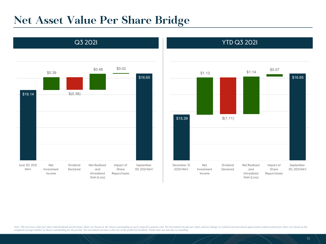### **Net Asset Value Per Share Bridge**





Note: The net asset value per share and dividends declared per share are based on the shares outstanding at each respective quarter-end. Net investment income per share and net change in realized and unrealized appreciatio *weighted average number of shares outstanding for the period. Net investment income is also net of the preferred dividend. Totals may not sum due to rounding.*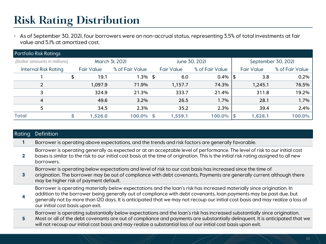### **Risk Rating Distribution**

• As of September 30, 2021, four borrowers were on non-accrual status, representing 3.5% of total investments at fair value and 5.1% at amortized cost.

| <b>Portfolio Risk Ratings</b> |                   |                 |   |                   |                 |    |                    |                 |
|-------------------------------|-------------------|-----------------|---|-------------------|-----------------|----|--------------------|-----------------|
| (Dollar amounts in millions)  |                   | March 3I, 2021  |   |                   | June 30, 2021   |    | September 30, 2021 |                 |
| <b>Internal Risk Rating</b>   | <b>Fair Value</b> | % of Fair Value |   | <b>Fair Value</b> | % of Fair Value |    | <b>Fair Value</b>  | % of Fair Value |
|                               | \$<br>19.1        | $1.3\%$ \$      |   | 6.0               | 0.4%            | \$ | 3.8                | 0.2%            |
| 2                             | 1,097.9           | 71.9%           |   | 1,157.7           | 74.3%           |    | 1,245.1            | 76.5%           |
| 3                             | 324.9             | 21.3%           |   | 333.7             | 21.4%           |    | 311.8              | 19.2%           |
| 4                             | 49.6              | $3.2\%$         |   | 26.5              | 1.7%            |    | 28.1               | $1.7\%$         |
| 5                             | 34.5              | 2.3%            |   | 35.2              | 2.3%            |    | 39.4               | 2.4%            |
| <b>Total</b>                  | 1,526.0           | 100.0%          | S | 1,559.1           | 100.0%          | S  | 1,628.1            | 100.0%          |

| Definition                                                                                                                                                                                                                                                                                                                                                                                                          |
|---------------------------------------------------------------------------------------------------------------------------------------------------------------------------------------------------------------------------------------------------------------------------------------------------------------------------------------------------------------------------------------------------------------------|
| Borrower is operating above expectations, and the trends and risk factors are generally favorable.                                                                                                                                                                                                                                                                                                                  |
| Borrower is operating generally as expected or at an acceptable level of performance. The level of risk to our initial cost<br>bases is similar to the risk to our initial cost basis at the time of origination. This is the initial risk rating assigned to all new<br>borrowers.                                                                                                                                 |
| Borrower is operating below expectations and level of risk to our cost basis has increased since the time of<br>origination. The borrower may be out of compliance with debt covenants. Payments are generally current although there<br>may be higher risk of payment default.                                                                                                                                     |
| Borrower is operating materially below expectations and the loan's risk has increased materially since origination. In<br>addition to the borrower being generally out of compliance with debt covenants, loan payments may be past due, but<br>generally not by more than I2O days. It is anticipated that we may not recoup our initial cost basis and may realize a loss of<br>our initial cost basis upon exit. |
| Borrower is operating substantially below expectations and the loan's risk has increased substantially since origination.<br>Most or all of the debt covenants are out of compliance and payments are substantially delinguent. It is anticipated that we<br>will not recoup our initial cost basis and may realize a substantial loss of our initial cost basis upon exit.                                         |
|                                                                                                                                                                                                                                                                                                                                                                                                                     |